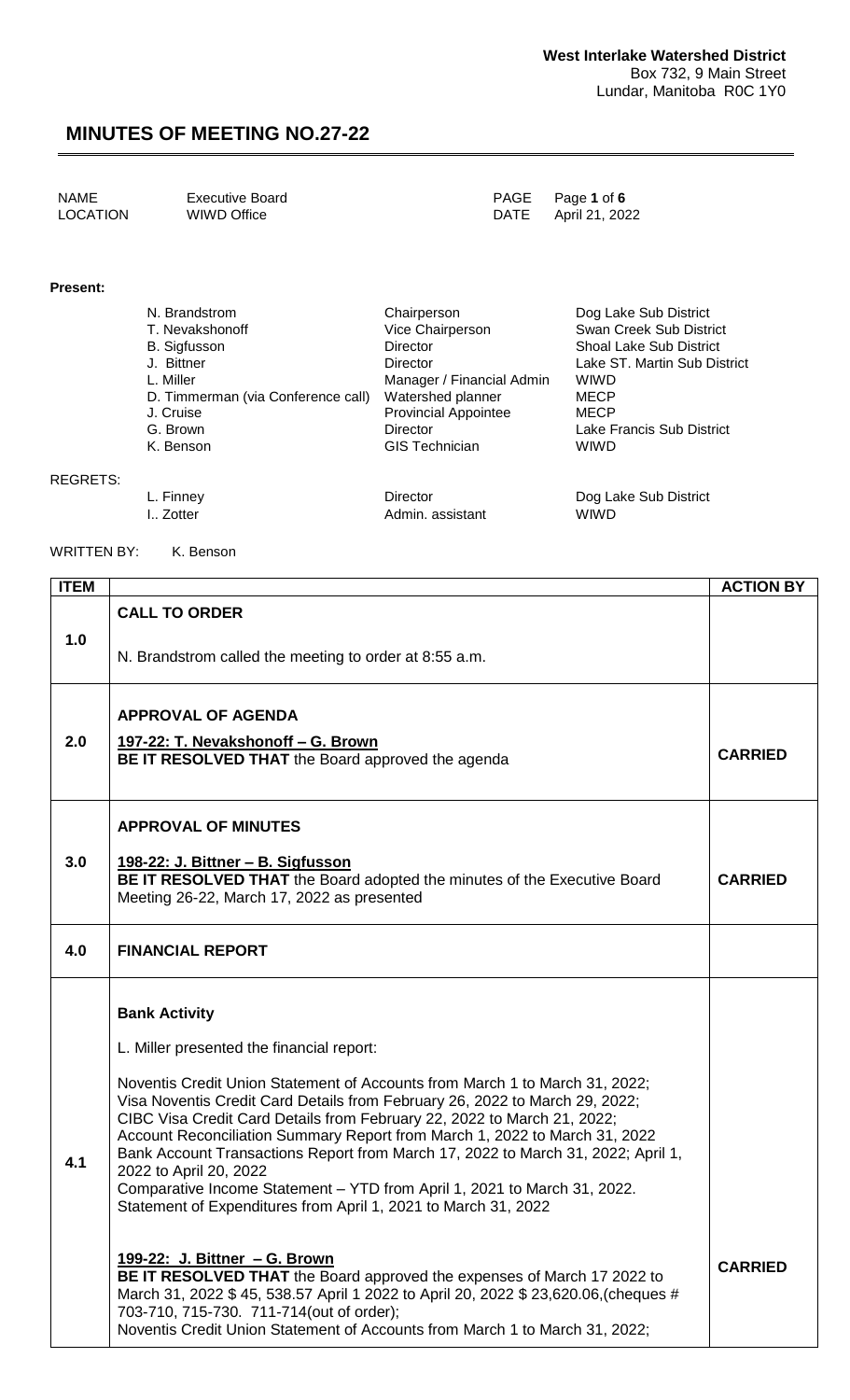| NAME     | Executive Board | PAGE Page 1 of 6    |
|----------|-----------------|---------------------|
| LOCATION | WIWD Office     | DATE April 21, 2022 |

#### **Present:**

| N. Brandstrom                      | Chairperson                 | Dog Lake Sub District          |
|------------------------------------|-----------------------------|--------------------------------|
| T. Nevakshonoff                    | Vice Chairperson            | Swan Creek Sub District        |
| B. Sigfusson                       | <b>Director</b>             | <b>Shoal Lake Sub District</b> |
| J. Bittner                         | Director                    | Lake ST. Martin Sub District   |
| L. Miller                          | Manager / Financial Admin   | <b>WIWD</b>                    |
| D. Timmerman (via Conference call) | Watershed planner           | <b>MECP</b>                    |
| J. Cruise                          | <b>Provincial Appointee</b> | <b>MECP</b>                    |
| G. Brown                           | Director                    | Lake Francis Sub District      |
| K. Benson                          | <b>GIS Technician</b>       | <b>WIWD</b>                    |
|                                    |                             |                                |
|                                    |                             |                                |

REGRETS:

I.. Zotter **Admin.** assistant

L. Finney Care and Director Contractor Dog Lake Sub District L. Zotter Contractor Admin. assistant Contractor WIWD

WRITTEN BY: K. Benson

| <b>ITEM</b> |                                                                                                                                                                                                                                                                                                                                                                                                                                                                                                                                                                                                                                                                                                                                                                                                                                                                                                                                                                                           | <b>ACTION BY</b> |
|-------------|-------------------------------------------------------------------------------------------------------------------------------------------------------------------------------------------------------------------------------------------------------------------------------------------------------------------------------------------------------------------------------------------------------------------------------------------------------------------------------------------------------------------------------------------------------------------------------------------------------------------------------------------------------------------------------------------------------------------------------------------------------------------------------------------------------------------------------------------------------------------------------------------------------------------------------------------------------------------------------------------|------------------|
|             | <b>CALL TO ORDER</b>                                                                                                                                                                                                                                                                                                                                                                                                                                                                                                                                                                                                                                                                                                                                                                                                                                                                                                                                                                      |                  |
| 1.0         | N. Brandstrom called the meeting to order at 8:55 a.m.                                                                                                                                                                                                                                                                                                                                                                                                                                                                                                                                                                                                                                                                                                                                                                                                                                                                                                                                    |                  |
| 2.0         | <b>APPROVAL OF AGENDA</b><br>197-22: T. Nevakshonoff - G. Brown<br>BE IT RESOLVED THAT the Board approved the agenda                                                                                                                                                                                                                                                                                                                                                                                                                                                                                                                                                                                                                                                                                                                                                                                                                                                                      | <b>CARRIED</b>   |
| 3.0         | <b>APPROVAL OF MINUTES</b><br>198-22: J. Bittner - B. Sigfusson<br>BE IT RESOLVED THAT the Board adopted the minutes of the Executive Board<br>Meeting 26-22, March 17, 2022 as presented                                                                                                                                                                                                                                                                                                                                                                                                                                                                                                                                                                                                                                                                                                                                                                                                 | <b>CARRIED</b>   |
| 4.0         | <b>FINANCIAL REPORT</b>                                                                                                                                                                                                                                                                                                                                                                                                                                                                                                                                                                                                                                                                                                                                                                                                                                                                                                                                                                   |                  |
| 4.1         | <b>Bank Activity</b><br>L. Miller presented the financial report:<br>Noventis Credit Union Statement of Accounts from March 1 to March 31, 2022;<br>Visa Noventis Credit Card Details from February 26, 2022 to March 29, 2022;<br>CIBC Visa Credit Card Details from February 22, 2022 to March 21, 2022;<br>Account Reconciliation Summary Report from March 1, 2022 to March 31, 2022<br>Bank Account Transactions Report from March 17, 2022 to March 31, 2022; April 1,<br>2022 to April 20, 2022<br>Comparative Income Statement - YTD from April 1, 2021 to March 31, 2022.<br>Statement of Expenditures from April 1, 2021 to March 31, 2022<br><u> 199-22: J. Bittner - G. Brown</u><br>BE IT RESOLVED THAT the Board approved the expenses of March 17 2022 to<br>March 31, 2022 \$45, 538.57 April 1 2022 to April 20, 2022 \$23,620.06, (cheques #<br>703-710, 715-730. 711-714(out of order);<br>Noventis Credit Union Statement of Accounts from March 1 to March 31, 2022; | <b>CARRIED</b>   |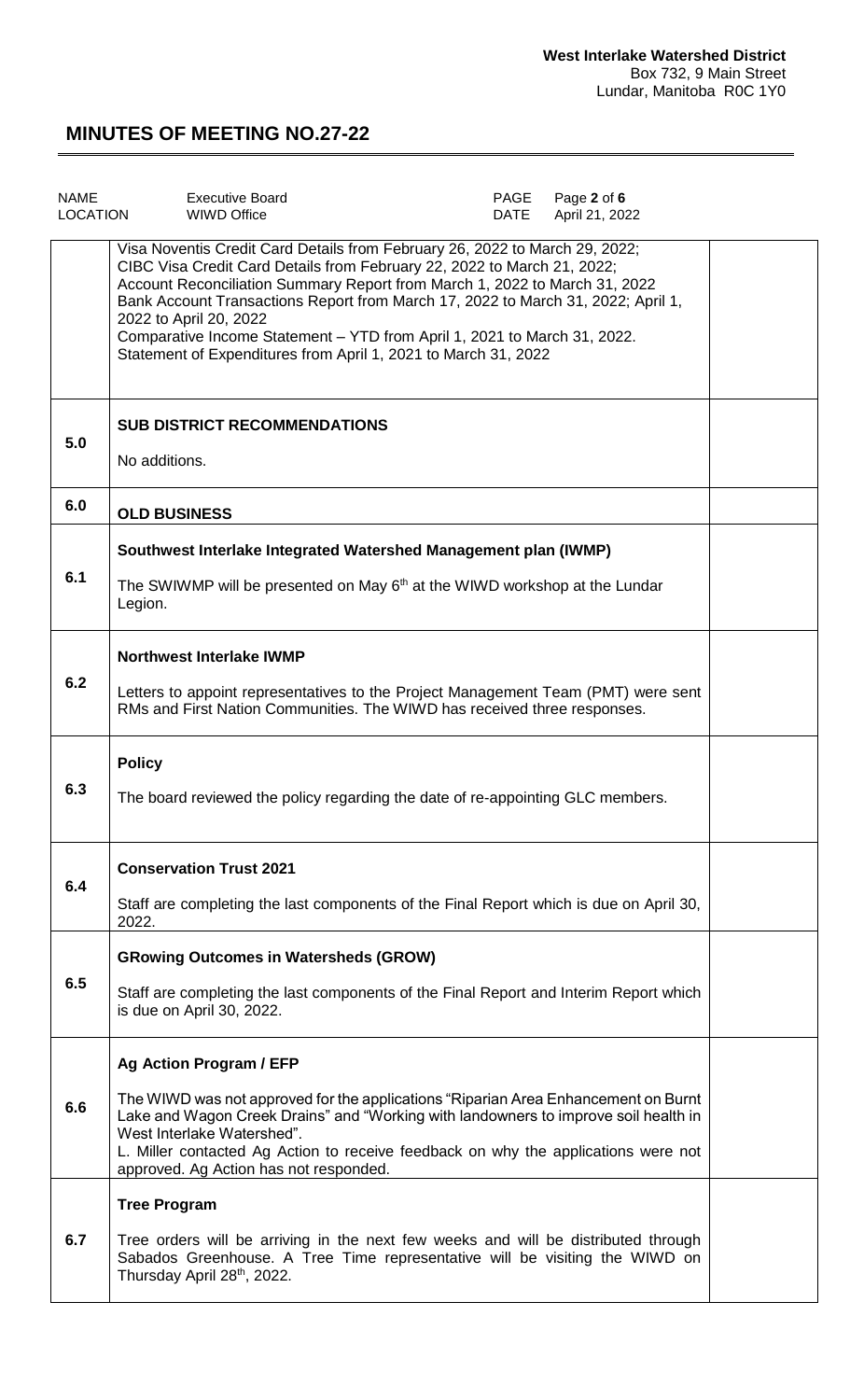| <b>NAME</b><br><b>LOCATION</b> | <b>Executive Board</b><br><b>WIWD Office</b>                                                                                                                                                                                                                                                                                                                                                                                                                                                     | PAGE<br><b>DATE</b> | Page 2 of 6<br>April 21, 2022 |  |
|--------------------------------|--------------------------------------------------------------------------------------------------------------------------------------------------------------------------------------------------------------------------------------------------------------------------------------------------------------------------------------------------------------------------------------------------------------------------------------------------------------------------------------------------|---------------------|-------------------------------|--|
|                                | Visa Noventis Credit Card Details from February 26, 2022 to March 29, 2022;<br>CIBC Visa Credit Card Details from February 22, 2022 to March 21, 2022;<br>Account Reconciliation Summary Report from March 1, 2022 to March 31, 2022<br>Bank Account Transactions Report from March 17, 2022 to March 31, 2022; April 1,<br>2022 to April 20, 2022<br>Comparative Income Statement - YTD from April 1, 2021 to March 31, 2022.<br>Statement of Expenditures from April 1, 2021 to March 31, 2022 |                     |                               |  |
| 5.0                            | <b>SUB DISTRICT RECOMMENDATIONS</b><br>No additions.                                                                                                                                                                                                                                                                                                                                                                                                                                             |                     |                               |  |
| 6.0                            | <b>OLD BUSINESS</b>                                                                                                                                                                                                                                                                                                                                                                                                                                                                              |                     |                               |  |
|                                | Southwest Interlake Integrated Watershed Management plan (IWMP)                                                                                                                                                                                                                                                                                                                                                                                                                                  |                     |                               |  |
| 6.1                            | The SWIWMP will be presented on May $6th$ at the WIWD workshop at the Lundar<br>Legion.                                                                                                                                                                                                                                                                                                                                                                                                          |                     |                               |  |
|                                | <b>Northwest Interlake IWMP</b>                                                                                                                                                                                                                                                                                                                                                                                                                                                                  |                     |                               |  |
| 6.2                            | Letters to appoint representatives to the Project Management Team (PMT) were sent<br>RMs and First Nation Communities. The WIWD has received three responses.                                                                                                                                                                                                                                                                                                                                    |                     |                               |  |
|                                | <b>Policy</b>                                                                                                                                                                                                                                                                                                                                                                                                                                                                                    |                     |                               |  |
| 6.3                            | The board reviewed the policy regarding the date of re-appointing GLC members.                                                                                                                                                                                                                                                                                                                                                                                                                   |                     |                               |  |
|                                | <b>Conservation Trust 2021</b>                                                                                                                                                                                                                                                                                                                                                                                                                                                                   |                     |                               |  |
| 6.4                            | Staff are completing the last components of the Final Report which is due on April 30,<br>2022.                                                                                                                                                                                                                                                                                                                                                                                                  |                     |                               |  |
|                                | <b>GRowing Outcomes in Watersheds (GROW)</b>                                                                                                                                                                                                                                                                                                                                                                                                                                                     |                     |                               |  |
| 6.5                            | Staff are completing the last components of the Final Report and Interim Report which<br>is due on April 30, 2022.                                                                                                                                                                                                                                                                                                                                                                               |                     |                               |  |
|                                | <b>Ag Action Program / EFP</b>                                                                                                                                                                                                                                                                                                                                                                                                                                                                   |                     |                               |  |
| 6.6                            | The WIWD was not approved for the applications "Riparian Area Enhancement on Burnt<br>Lake and Wagon Creek Drains" and "Working with landowners to improve soil health in<br>West Interlake Watershed".<br>L. Miller contacted Ag Action to receive feedback on why the applications were not<br>approved. Ag Action has not responded.                                                                                                                                                          |                     |                               |  |
|                                | <b>Tree Program</b>                                                                                                                                                                                                                                                                                                                                                                                                                                                                              |                     |                               |  |
| 6.7                            | Tree orders will be arriving in the next few weeks and will be distributed through<br>Sabados Greenhouse. A Tree Time representative will be visiting the WIWD on<br>Thursday April 28 <sup>th</sup> , 2022.                                                                                                                                                                                                                                                                                     |                     |                               |  |
|                                |                                                                                                                                                                                                                                                                                                                                                                                                                                                                                                  |                     |                               |  |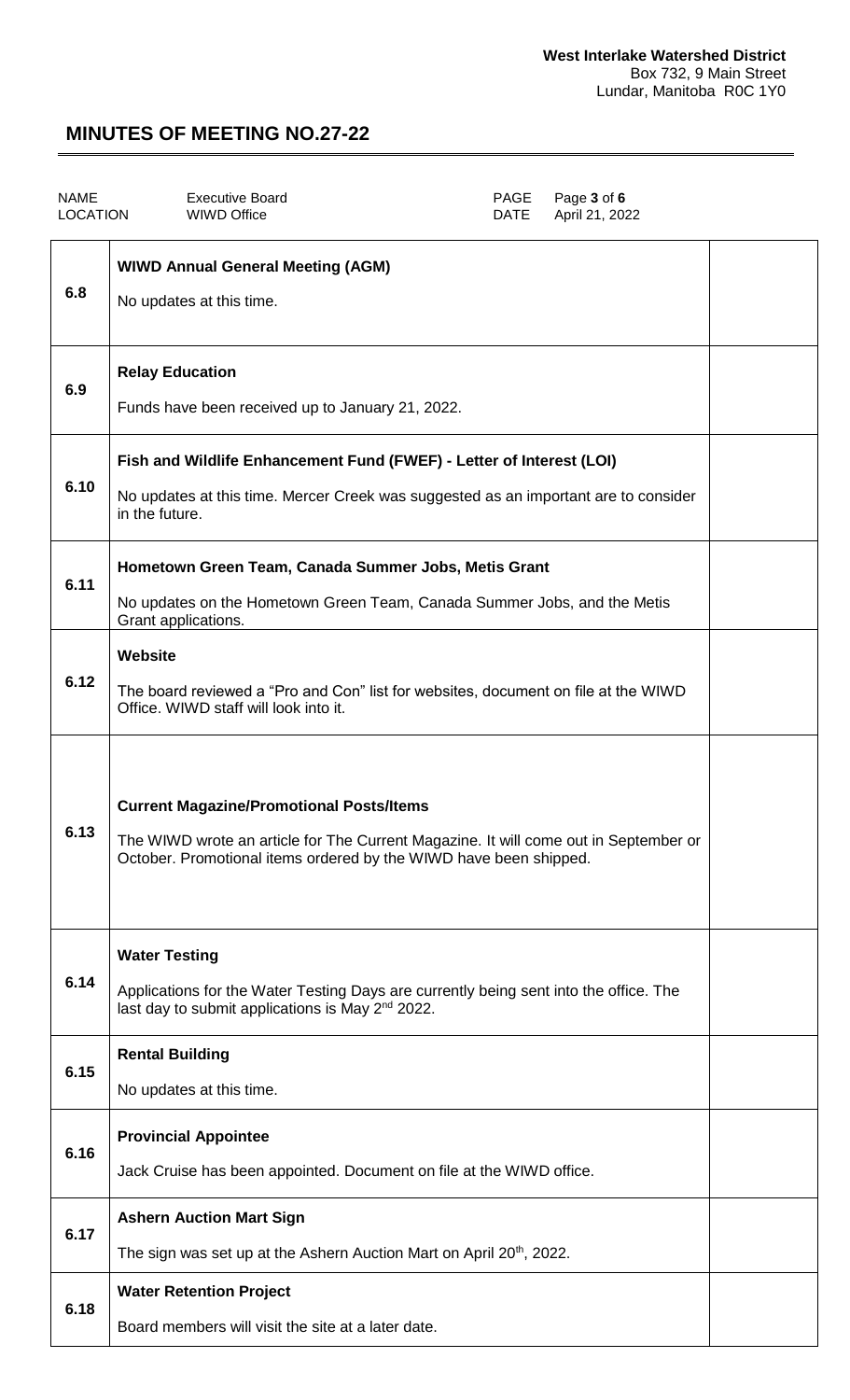| <b>NAME</b><br><b>LOCATION</b> | <b>Executive Board</b><br>PAGE<br>Page 3 of 6<br><b>WIWD Office</b><br><b>DATE</b><br>April 21, 2022                                                                                                         |  |
|--------------------------------|--------------------------------------------------------------------------------------------------------------------------------------------------------------------------------------------------------------|--|
| 6.8                            | <b>WIWD Annual General Meeting (AGM)</b><br>No updates at this time.                                                                                                                                         |  |
| 6.9                            | <b>Relay Education</b><br>Funds have been received up to January 21, 2022.                                                                                                                                   |  |
| 6.10                           | Fish and Wildlife Enhancement Fund (FWEF) - Letter of Interest (LOI)<br>No updates at this time. Mercer Creek was suggested as an important are to consider<br>in the future.                                |  |
| 6.11                           | Hometown Green Team, Canada Summer Jobs, Metis Grant<br>No updates on the Hometown Green Team, Canada Summer Jobs, and the Metis<br>Grant applications.                                                      |  |
| 6.12                           | <b>Website</b><br>The board reviewed a "Pro and Con" list for websites, document on file at the WIWD<br>Office. WIWD staff will look into it.                                                                |  |
| 6.13                           | <b>Current Magazine/Promotional Posts/Items</b><br>The WIWD wrote an article for The Current Magazine. It will come out in September or<br>October. Promotional items ordered by the WIWD have been shipped. |  |
| 6.14                           | <b>Water Testing</b><br>Applications for the Water Testing Days are currently being sent into the office. The<br>last day to submit applications is May 2 <sup>nd</sup> 2022.                                |  |
| 6.15                           | <b>Rental Building</b><br>No updates at this time.                                                                                                                                                           |  |
| 6.16                           | <b>Provincial Appointee</b><br>Jack Cruise has been appointed. Document on file at the WIWD office.                                                                                                          |  |
| 6.17                           | <b>Ashern Auction Mart Sign</b><br>The sign was set up at the Ashern Auction Mart on April 20 <sup>th</sup> , 2022.                                                                                          |  |
| 6.18                           | <b>Water Retention Project</b><br>Board members will visit the site at a later date.                                                                                                                         |  |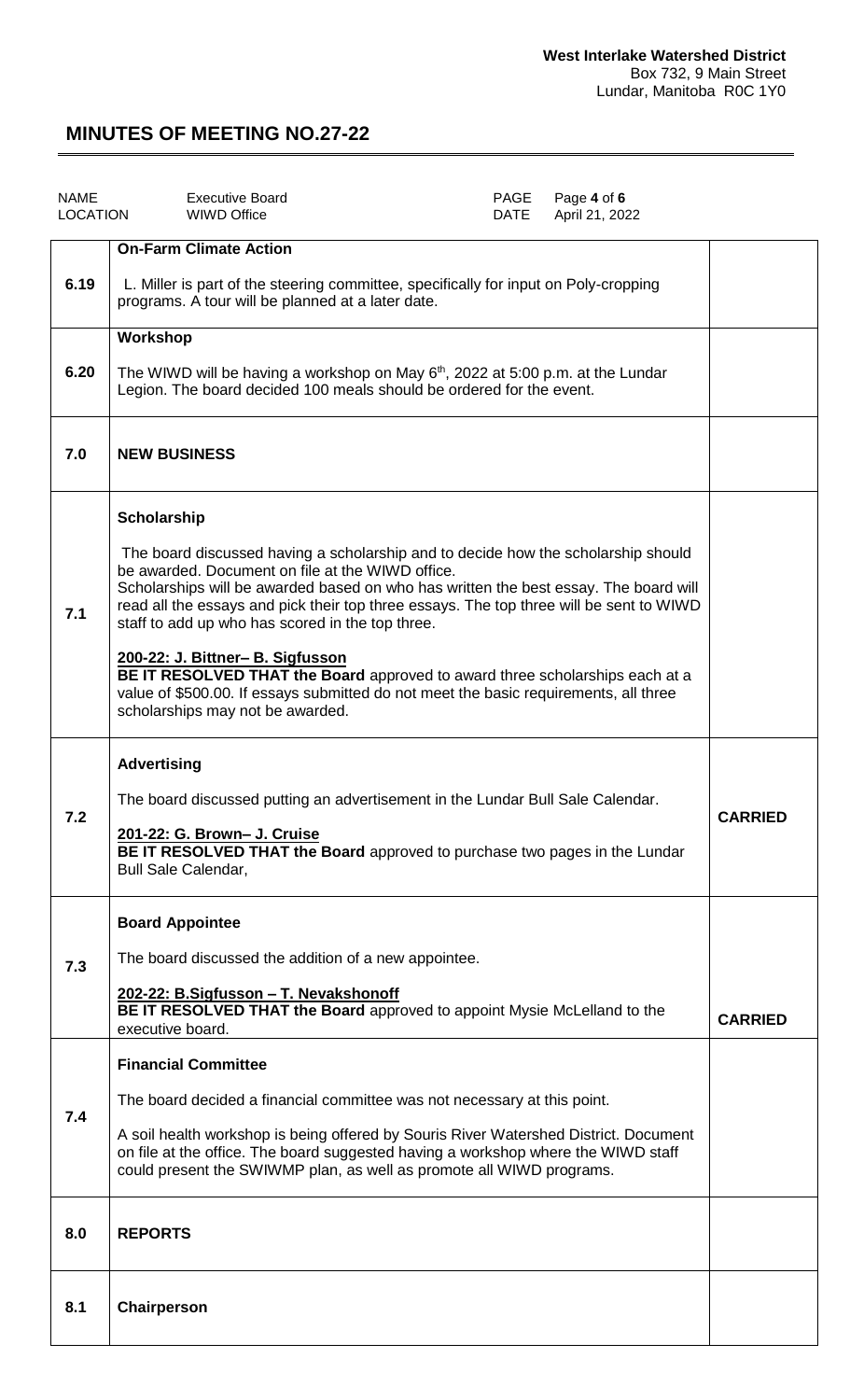| <b>NAME</b><br><b>LOCATION</b> | <b>Executive Board</b><br><b>WIWD Office</b>                                                                                                                                                                                                                                                                                                                                                                                                                                                                                                                                                                                                | PAGE<br>DATE | Page 4 of 6<br>April 21, 2022 |                |
|--------------------------------|---------------------------------------------------------------------------------------------------------------------------------------------------------------------------------------------------------------------------------------------------------------------------------------------------------------------------------------------------------------------------------------------------------------------------------------------------------------------------------------------------------------------------------------------------------------------------------------------------------------------------------------------|--------------|-------------------------------|----------------|
| 6.19                           | <b>On-Farm Climate Action</b><br>L. Miller is part of the steering committee, specifically for input on Poly-cropping<br>programs. A tour will be planned at a later date.                                                                                                                                                                                                                                                                                                                                                                                                                                                                  |              |                               |                |
| 6.20                           | Workshop<br>The WIWD will be having a workshop on May $6th$ , 2022 at 5:00 p.m. at the Lundar<br>Legion. The board decided 100 meals should be ordered for the event.                                                                                                                                                                                                                                                                                                                                                                                                                                                                       |              |                               |                |
| 7.0                            | <b>NEW BUSINESS</b>                                                                                                                                                                                                                                                                                                                                                                                                                                                                                                                                                                                                                         |              |                               |                |
| 7.1                            | Scholarship<br>The board discussed having a scholarship and to decide how the scholarship should<br>be awarded. Document on file at the WIWD office.<br>Scholarships will be awarded based on who has written the best essay. The board will<br>read all the essays and pick their top three essays. The top three will be sent to WIWD<br>staff to add up who has scored in the top three.<br>200-22: J. Bittner- B. Sigfusson<br>BE IT RESOLVED THAT the Board approved to award three scholarships each at a<br>value of \$500.00. If essays submitted do not meet the basic requirements, all three<br>scholarships may not be awarded. |              |                               |                |
| 7.2                            | <b>Advertising</b><br>The board discussed putting an advertisement in the Lundar Bull Sale Calendar.<br>201-22: G. Brown- J. Cruise<br>BE IT RESOLVED THAT the Board approved to purchase two pages in the Lundar<br><b>Bull Sale Calendar,</b>                                                                                                                                                                                                                                                                                                                                                                                             |              |                               | <b>CARRIED</b> |
| 7.3                            | <b>Board Appointee</b><br>The board discussed the addition of a new appointee.<br>202-22: B.Sigfusson - T. Nevakshonoff<br><b>BE IT RESOLVED THAT the Board</b> approved to appoint Mysie McLelland to the<br>executive board.                                                                                                                                                                                                                                                                                                                                                                                                              |              |                               | <b>CARRIED</b> |
| 7.4                            | <b>Financial Committee</b><br>The board decided a financial committee was not necessary at this point.<br>A soil health workshop is being offered by Souris River Watershed District. Document<br>on file at the office. The board suggested having a workshop where the WIWD staff<br>could present the SWIWMP plan, as well as promote all WIWD programs.                                                                                                                                                                                                                                                                                 |              |                               |                |
| 8.0                            | <b>REPORTS</b>                                                                                                                                                                                                                                                                                                                                                                                                                                                                                                                                                                                                                              |              |                               |                |
| 8.1                            | Chairperson                                                                                                                                                                                                                                                                                                                                                                                                                                                                                                                                                                                                                                 |              |                               |                |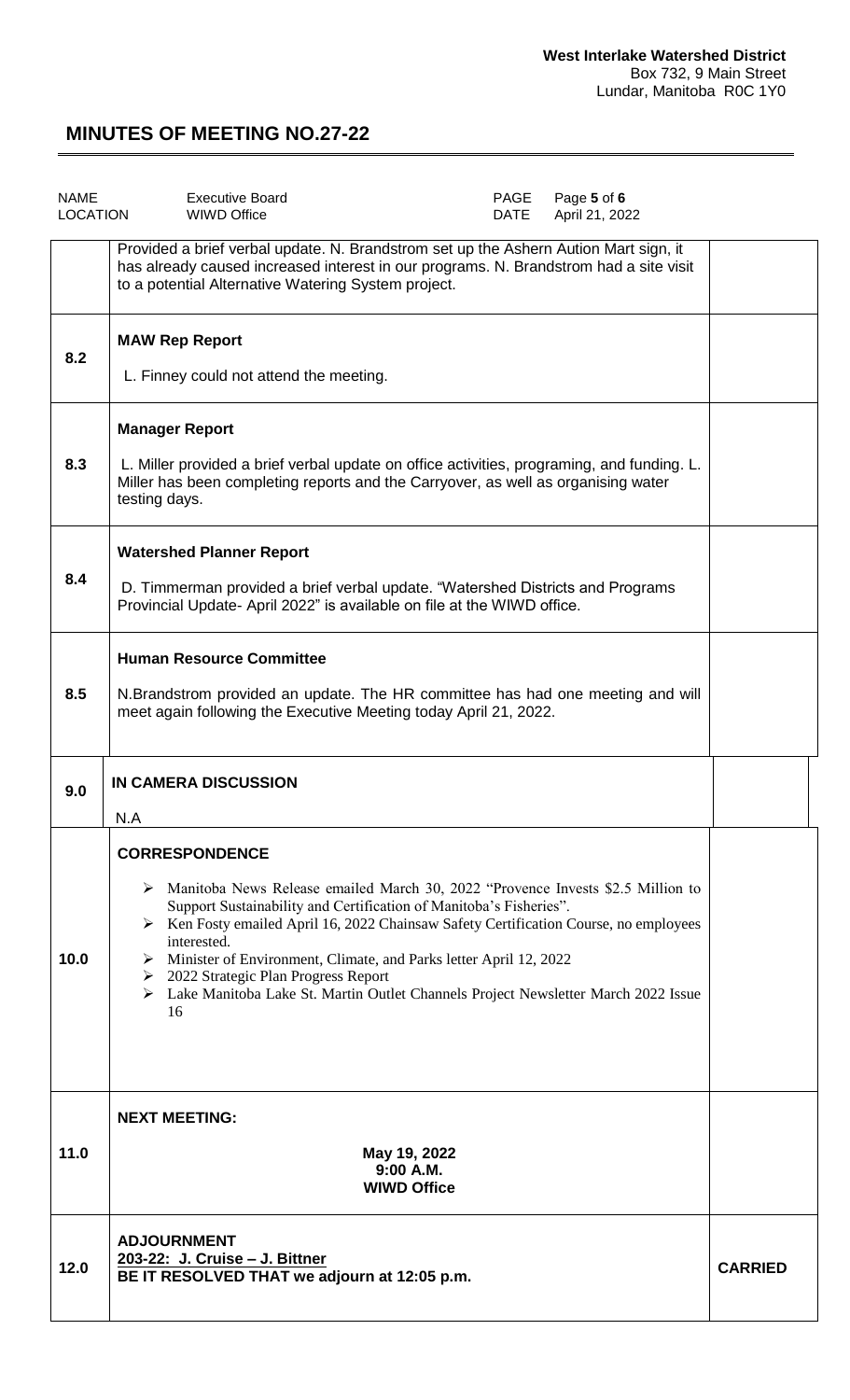| <b>NAME</b><br><b>LOCATION</b> | <b>Executive Board</b><br>PAGE<br>Page 5 of 6<br>April 21, 2022<br><b>WIWD Office</b><br>DATE                                                                                                                                                                                                                                                                                                                                                                                                                             |                |
|--------------------------------|---------------------------------------------------------------------------------------------------------------------------------------------------------------------------------------------------------------------------------------------------------------------------------------------------------------------------------------------------------------------------------------------------------------------------------------------------------------------------------------------------------------------------|----------------|
|                                | Provided a brief verbal update. N. Brandstrom set up the Ashern Aution Mart sign, it<br>has already caused increased interest in our programs. N. Brandstrom had a site visit<br>to a potential Alternative Watering System project.                                                                                                                                                                                                                                                                                      |                |
| 8.2                            | <b>MAW Rep Report</b><br>L. Finney could not attend the meeting.                                                                                                                                                                                                                                                                                                                                                                                                                                                          |                |
| 8.3                            | <b>Manager Report</b><br>L. Miller provided a brief verbal update on office activities, programing, and funding. L.<br>Miller has been completing reports and the Carryover, as well as organising water<br>testing days.                                                                                                                                                                                                                                                                                                 |                |
| 8.4                            | <b>Watershed Planner Report</b><br>D. Timmerman provided a brief verbal update. "Watershed Districts and Programs<br>Provincial Update- April 2022" is available on file at the WIWD office.                                                                                                                                                                                                                                                                                                                              |                |
| 8.5                            | <b>Human Resource Committee</b><br>N. Brandstrom provided an update. The HR committee has had one meeting and will<br>meet again following the Executive Meeting today April 21, 2022.                                                                                                                                                                                                                                                                                                                                    |                |
| 9.0                            | IN CAMERA DISCUSSION<br>N.A                                                                                                                                                                                                                                                                                                                                                                                                                                                                                               |                |
| 10.0                           | <b>CORRESPONDENCE</b><br>$\triangleright$ Manitoba News Release emailed March 30, 2022 "Provence Invests \$2.5 Million to<br>Support Sustainability and Certification of Manitoba's Fisheries".<br>> Ken Fosty emailed April 16, 2022 Chainsaw Safety Certification Course, no employees<br>interested.<br>> Minister of Environment, Climate, and Parks letter April 12, 2022<br>$\geq$ 2022 Strategic Plan Progress Report<br>> Lake Manitoba Lake St. Martin Outlet Channels Project Newsletter March 2022 Issue<br>16 |                |
| 11.0                           | <b>NEXT MEETING:</b><br>May 19, 2022<br>9:00 A.M.<br><b>WIWD Office</b>                                                                                                                                                                                                                                                                                                                                                                                                                                                   |                |
| 12.0                           | <b>ADJOURNMENT</b><br>203-22: J. Cruise - J. Bittner<br>BE IT RESOLVED THAT we adjourn at 12:05 p.m.                                                                                                                                                                                                                                                                                                                                                                                                                      | <b>CARRIED</b> |